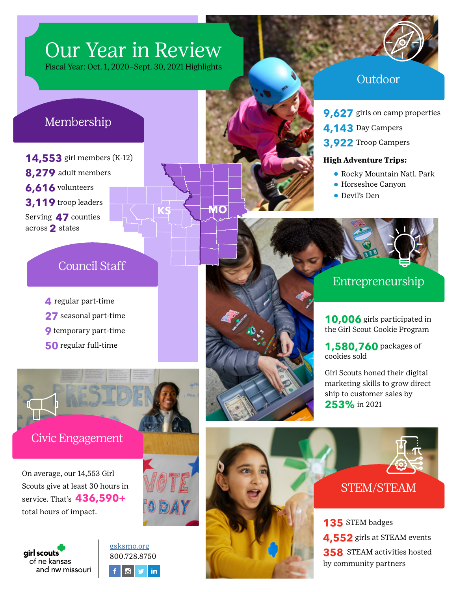# Our Year in Review

Fiscal Year: Oct. 1, 2020–Sept. 30, 2021 Highlights

## Membership

**14,553** girl members (K-12) **8,279** adult members **6,616** volunteers **3,119** troop leaders Serving **47** counties across **2** states



## Outdoor

**9.627** girls on camp properties

- **4,143** Day Campers
- **3,922** Troop Campers

#### **High Adventure Trips:**

- **•** Rocky Mountain Natl. Park
- **•** Horseshoe Canyon
- **•** Devil's Den

## Council Staff

- **4** regular part-time
- **27** seasonal part-time
- **9** temporary part-time
- **50** regular full-time



Civic Engagement

On average, our 14,553 Girl Scouts give at least 30 hours in service. That's **436,590+** total hours of impact.









**10,006** girls participated in the Girl Scout Cookie Program

**1,580,760** packages of cookies sold

Girl Scouts honed their digital marketing skills to grow direct ship to customer sales by **253%** in 2021





## STEM/STEAM

**135** STEM badges **4,552** girls at STEAM events **358** STEAM activities hosted by community partners